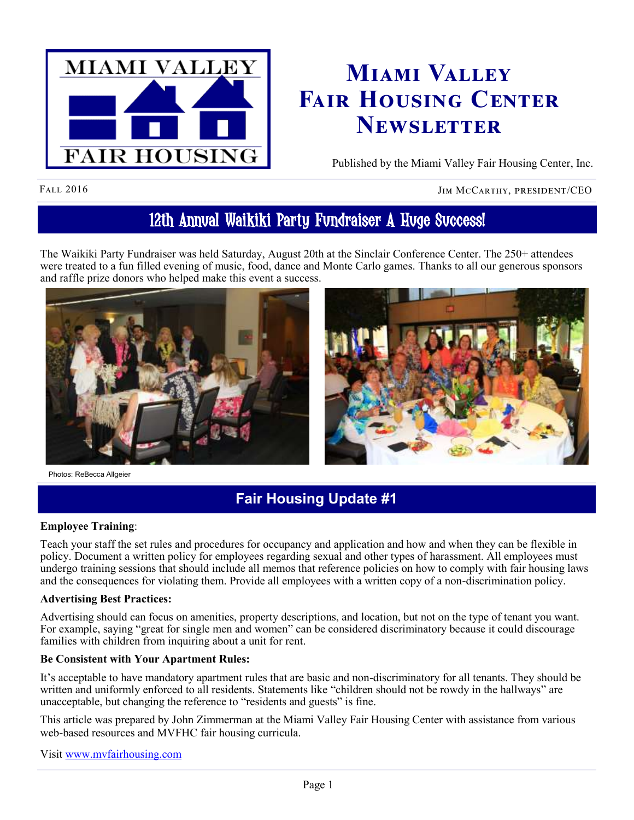

# **Miami Valley Fair Housing Center Newsletter**

Published by the Miami Valley Fair Housing Center, Inc.

FALL 2016 JIM MCCARTHY, PRESIDENT/CEO

# 12th Annual Waikiki Party Fundraiser A Huge Success!

The Waikiki Party Fundraiser was held Saturday, August 20th at the Sinclair Conference Center. The 250+ attendees were treated to a fun filled evening of music, food, dance and Monte Carlo games. Thanks to all our generous sponsors and raffle prize donors who helped make this event a success.



## **Fair Housing Update #1**

#### **Employee Training**:

Teach your staff the set rules and procedures for occupancy and application and how and when they can be flexible in policy. Document a written policy for employees regarding sexual and other types of harassment. All employees must undergo training sessions that should include all memos that reference policies on how to comply with fair housing laws and the consequences for violating them. Provide all employees with a written copy of a non-discrimination policy.

#### **Advertising Best Practices:**

Advertising should can focus on amenities, property descriptions, and location, but not on the type of tenant you want. For example, saying "great for single men and women" can be considered discriminatory because it could discourage families with children from inquiring about a unit for rent.

#### **Be Consistent with Your Apartment Rules:**

It's acceptable to have mandatory apartment rules that are basic and non-discriminatory for all tenants. They should be written and uniformly enforced to all residents. Statements like "children should not be rowdy in the hallways" are unacceptable, but changing the reference to "residents and guests" is fine.

This article was prepared by John Zimmerman at the Miami Valley Fair Housing Center with assistance from various web-based resources and MVFHC fair housing curricula.

Visit [www.mvfairhousing.com](http://www.mvfairhousing.com)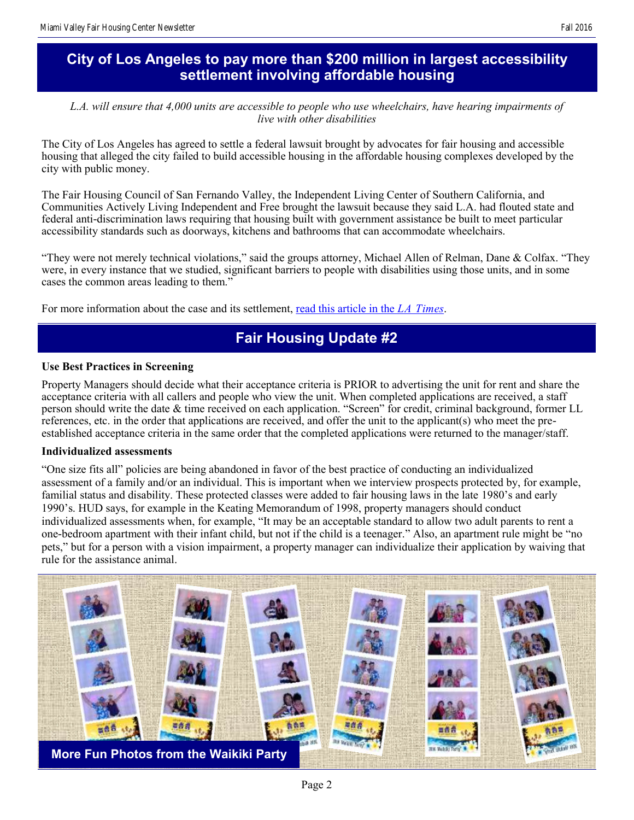## **City of Los Angeles to pay more than \$200 million in largest accessibility settlement involving affordable housing**

*L.A. will ensure that 4,000 units are accessible to people who use wheelchairs, have hearing impairments of live with other disabilities*

The City of Los Angeles has agreed to settle a federal lawsuit brought by advocates for fair housing and accessible housing that alleged the city failed to build accessible housing in the affordable housing complexes developed by the city with public money.

The Fair Housing Council of San Fernando Valley, the Independent Living Center of Southern California, and Communities Actively Living Independent and Free brought the lawsuit because they said L.A. had flouted state and federal anti-discrimination laws requiring that housing built with government assistance be built to meet particular accessibility standards such as doorways, kitchens and bathrooms that can accommodate wheelchairs.

"They were not merely technical violations," said the groups attorney, Michael Allen of Relman, Dane & Colfax. "They were, in every instance that we studied, significant barriers to people with disabilities using those units, and in some cases the common areas leading to them."

For more information about the case and its settlement, [read this article in the](http://www.latimes.com/local/lanow/la-me-ln-housing-settlement-disabled-20160828-snap-story.html) *LA Times*.

## **Fair Housing Update #2**

#### **Use Best Practices in Screening**

Property Managers should decide what their acceptance criteria is PRIOR to advertising the unit for rent and share the acceptance criteria with all callers and people who view the unit. When completed applications are received, a staff person should write the date & time received on each application. "Screen" for credit, criminal background, former LL references, etc. in the order that applications are received, and offer the unit to the applicant(s) who meet the preestablished acceptance criteria in the same order that the completed applications were returned to the manager/staff.

#### **Individualized assessments**

"One size fits all" policies are being abandoned in favor of the best practice of conducting an individualized assessment of a family and/or an individual. This is important when we interview prospects protected by, for example, familial status and disability. These protected classes were added to fair housing laws in the late 1980's and early 1990's. HUD says, for example in the Keating Memorandum of 1998, property managers should conduct individualized assessments when, for example, "It may be an acceptable standard to allow two adult parents to rent a one-bedroom apartment with their infant child, but not if the child is a teenager." Also, an apartment rule might be "no pets," but for a person with a vision impairment, a property manager can individualize their application by waiving that rule for the assistance animal.

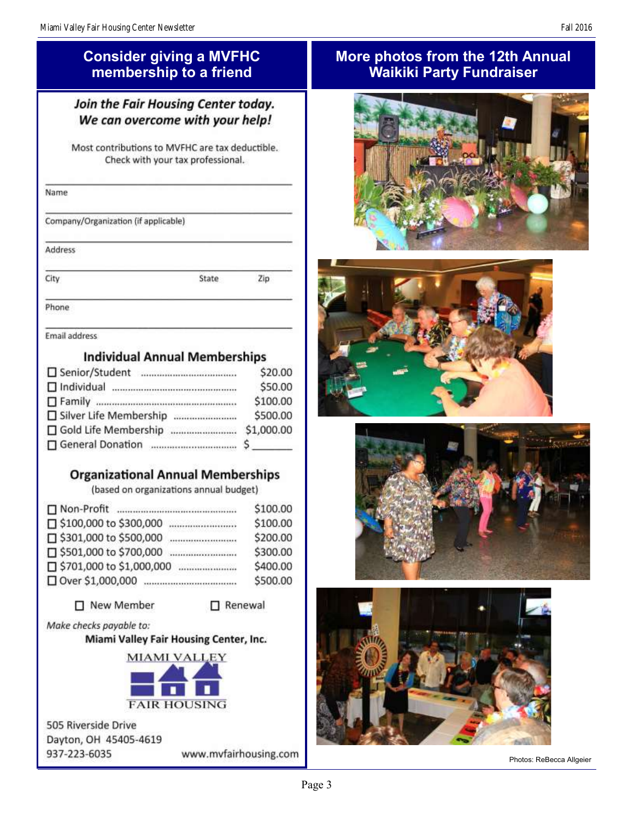## **Consider giving a MVFHC membership to a friend**

## Join the Fair Housing Center today. We can overcome with your help!

Most contributions to MVFHC are tax deductible. Check with your tax professional.

| Name                                           |       |     |  |
|------------------------------------------------|-------|-----|--|
| Company/Organization (if applicable)           |       |     |  |
| Address<br>1999 P. P. LEWIS CO., LANSING MICH. |       |     |  |
|                                                | State | Zip |  |

Phone

Email address

## **Individual Annual Memberships**

|                              | \$20.00    |
|------------------------------|------------|
| $\Box$ Individual            | \$50.00    |
|                              | \$100.00   |
| □ Silver Life Membership<br> | \$500.00   |
| □ Gold Life Membership<br>   | \$1,000.00 |
|                              | $\sim$     |

## **Organizational Annual Memberships**

(based on organizations annual budget)

|                                | \$100.00 |
|--------------------------------|----------|
| □ \$100,000 to \$300,000<br>   | \$100.00 |
| □ \$301,000 to \$500,000<br>   | \$200.00 |
| □ \$501,000 to \$700,000       | \$300.00 |
| □ \$701,000 to \$1,000,000<br> | \$400.00 |
| □ Over \$1,000,000             | \$500.00 |

### □ New Member

Renewal

#### Make checks payable to:

Miami Valley Fair Housing Center, Inc.



505 Riverside Drive Dayton, OH 45405-4619 937-223-6035 www.mvfairhousing.com

## **More photos from the 12th Annual Waikiki Party Fundraiser**









Photos: ReBecca Allgeier